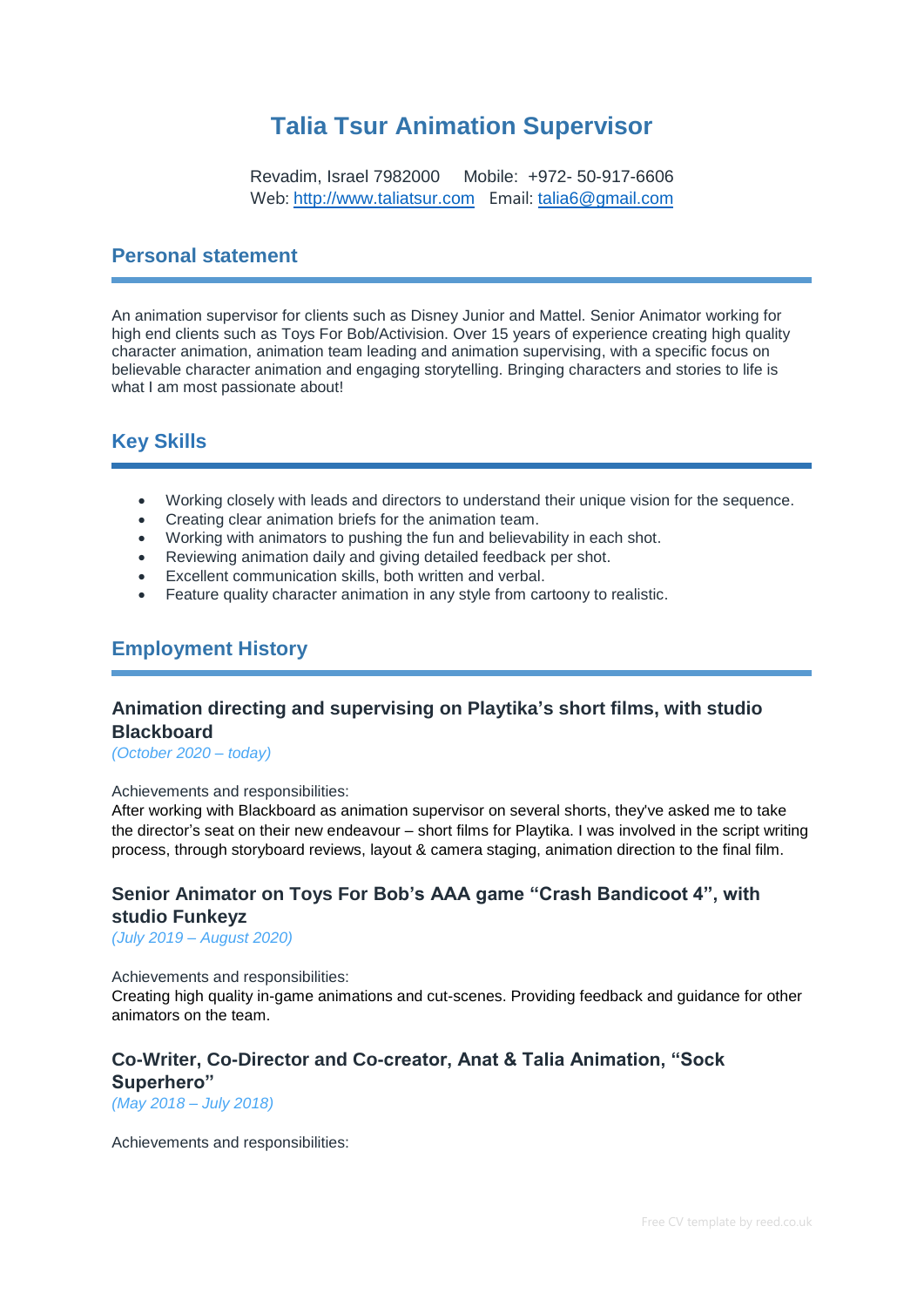# **Talia Tsur Animation Supervisor**

Revadim, Israel 7982000 Mobile: +972- 50-917-6606 Web: [http://www.taliatsur.com](http://www.taliatsur.com/) Email: [talia6@gmail.com](mailto:talia6@gmail.com)

### **Personal statement**

An animation supervisor for clients such as Disney Junior and Mattel. Senior Animator working for high end clients such as Toys For Bob/Activision. Over 15 years of experience creating high quality character animation, animation team leading and animation supervising, with a specific focus on believable character animation and engaging storytelling. Bringing characters and stories to life is what I am most passionate about!

# **Key Skills**

- Working closely with leads and directors to understand their unique vision for the sequence.
- Creating clear animation briefs for the animation team.
- Working with animators to pushing the fun and believability in each shot.
- Reviewing animation daily and giving detailed feedback per shot.
- Excellent communication skills, both written and verbal.
- Feature quality character animation in any style from cartoony to realistic.

# **Employment History**

### **Animation directing and supervising on Playtika's short films, with studio Blackboard**

*(October 2020 – today)*

#### Achievements and responsibilities:

After working with Blackboard as animation supervisor on several shorts, they've asked me to take the director's seat on their new endeavour – short films for Playtika. I was involved in the script writing process, through storyboard reviews, layout & camera staging, animation direction to the final film.

## **Senior Animator on Toys For Bob's AAA game "Crash Bandicoot 4", with studio Funkeyz**

*(July 2019 – August 2020)*

#### Achievements and responsibilities:

Creating high quality in-game animations and cut-scenes. Providing feedback and guidance for other animators on the team.

# **Co-Writer, Co-Director and Co-creator, Anat & Talia Animation, "Sock Superhero"**

*(May 2018 – July 2018)*

Achievements and responsibilities: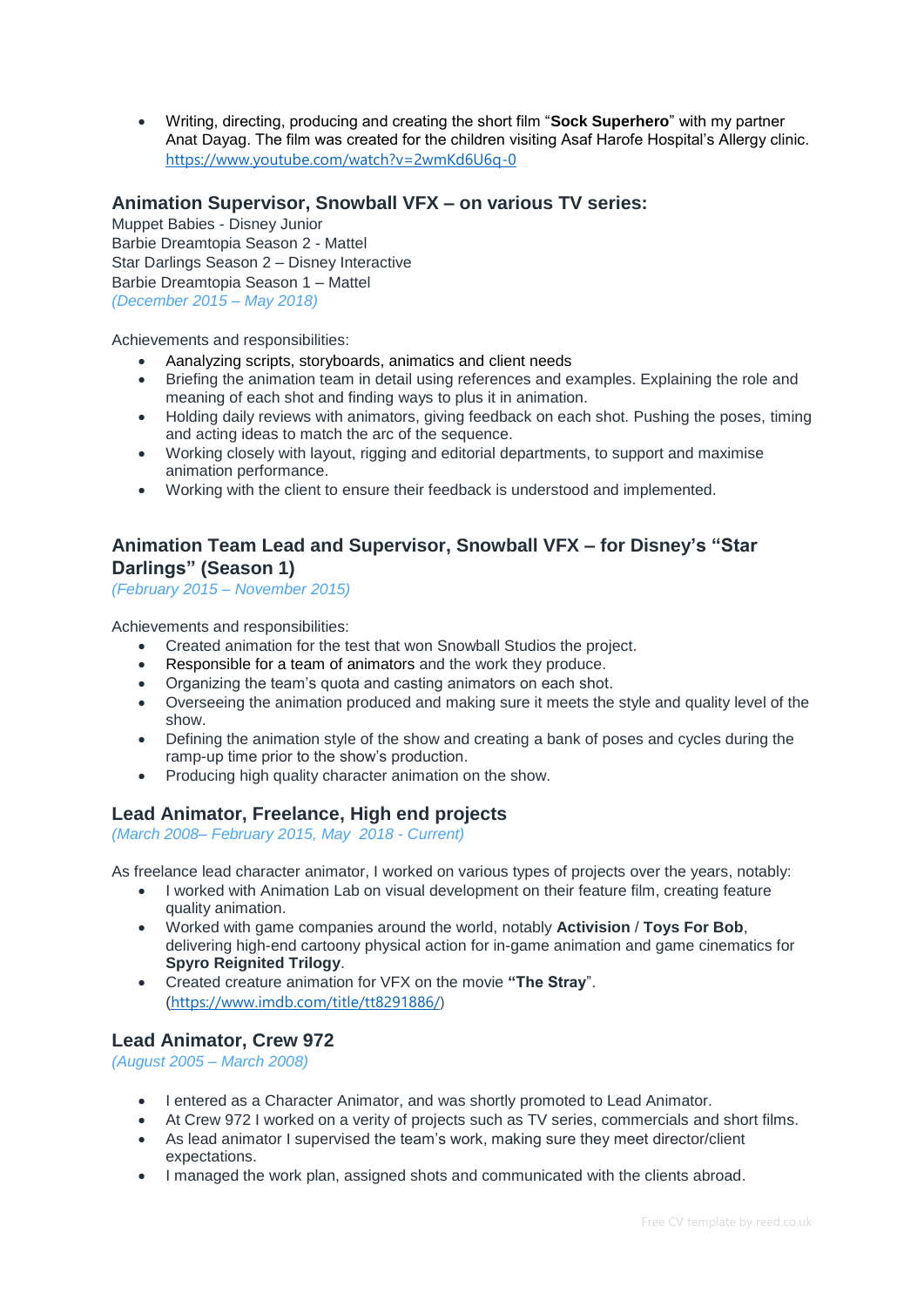Writing, directing, producing and creating the short film "**Sock Superhero**" with my partner Anat Dayag. The film was created for the children visiting Asaf Harofe Hospital's Allergy clinic. <https://www.youtube.com/watch?v=2wmKd6U6q-0>

### **Animation Supervisor, Snowball VFX – on various TV series:**

Muppet Babies - Disney Junior Barbie Dreamtopia Season 2 - Mattel Star Darlings Season 2 – Disney Interactive Barbie Dreamtopia Season 1 – Mattel *(December 2015 – May 2018)*

Achievements and responsibilities:

- Aanalyzing scripts, storyboards, animatics and client needs
- Briefing the animation team in detail using references and examples. Explaining the role and meaning of each shot and finding ways to plus it in animation.
- Holding daily reviews with animators, giving feedback on each shot. Pushing the poses, timing and acting ideas to match the arc of the sequence.
- Working closely with layout, rigging and editorial departments, to support and maximise animation performance.
- Working with the client to ensure their feedback is understood and implemented.

### **Animation Team Lead and Supervisor, Snowball VFX – for Disney's "Star Darlings" (Season 1)**

*(February 2015 – November 2015)*

Achievements and responsibilities:

- Created animation for the test that won Snowball Studios the project.
- Responsible for a team of animators and the work they produce.
- Organizing the team's quota and casting animators on each shot.
- Overseeing the animation produced and making sure it meets the style and quality level of the show.
- Defining the animation style of the show and creating a bank of poses and cycles during the ramp-up time prior to the show's production.
- Producing high quality character animation on the show.

#### **Lead Animator, Freelance, High end projects**

*(March 2008– February 2015, May 2018 - Current)*

As freelance lead character animator, I worked on various types of projects over the years, notably:

- I worked with Animation Lab on visual development on their feature film, creating feature quality animation.
- Worked with game companies around the world, notably **Activision** / **Toys For Bob**, delivering high-end cartoony physical action for in-game animation and game cinematics for **Spyro Reignited Trilogy**.
- Created creature animation for VFX on the movie **"The Stray**". ([https://www.imdb.com/title/tt8291886/\)](https://www.imdb.com/title/tt8291886/)

#### **Lead Animator, Crew 972**

*(August 2005 – March 2008)*

- I entered as a Character Animator, and was shortly promoted to Lead Animator.
- At Crew 972 I worked on a verity of projects such as TV series, commercials and short films.
- As lead animator I supervised the team's work, making sure they meet director/client expectations.
- I managed the work plan, assigned shots and communicated with the clients abroad.